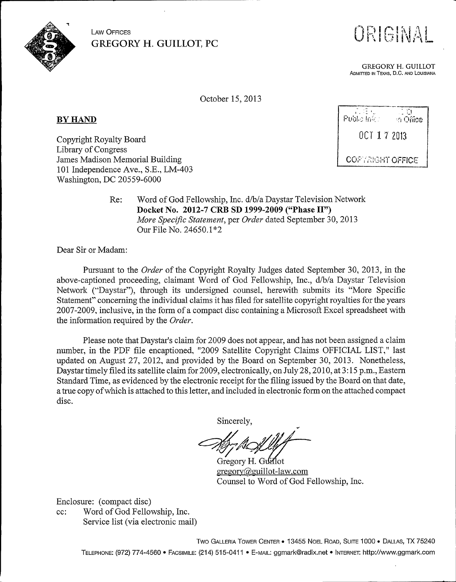

ORIGINAL

GREGORY H. GUILLOT ADMITTED IN TEXAS, D.C. AND LOUISIANA

October 15, 2013

BY HAND

Copyright Royalty Board Library of Congress James Madison Memorial Building 101 Independence Ave., S.E., LM-403 Washington, DC 20559-6000

 $7.5\%$ i) Public Info: ".I <sup>I</sup> IiIICe OCT I 7 ZO13 **COPTRIGHT OFFICE** 

Re: Word of God Fellowship, Inc. d/b/a Daystar Television Network Docket No. 2012-7 CRB SD 1999-2009 ("Phase II") More Specific Statement, per Order dated September 30, 2013 Our File No. 24650.1\*2

Dear Sir or Madam:

Pursuant to the *Order* of the Copyright Royalty Judges dated September 30, 2013, in the above-captioned proceeding, claimant Word of God Fellowship, Inc., d/b/a Daystar Television Network ("'Daystar"), through its undersigned counsel, herewith submits its "More Specific Statement" concerning the individual claims it has filed for satellite copyright royalties for the years 2007-2009, inclusive, in the form of a compact disc containing a Microsoft Excel spreadsheet with the information required by the Order.

Please note that Daystar's claim for 2009 does not appear, and has not been assigned a claim number, in the PDF file encaptioned, "2009 Satellite Copyright Claims OFFICIAL LIST," last updated on August 27, 2012, and provided by the Board on September 30, 2013. Nonetheless, Daystar timely filed its satellite claim for 2009, electronically, on July 28, 2010, at 3:15 p.m., Eastern Standard Time, as evidenced by the electronic receipt for the filing issued by the Board on that date, a true copy ofwhich is attached to this letter, and included in electronic form on the attached compact disc.

Sincerely,

Gregory H. Guillot  $gregory@guillot-law.com$ Counsel to Word of God Fellowship, Inc.

Enclosure: (compact disc)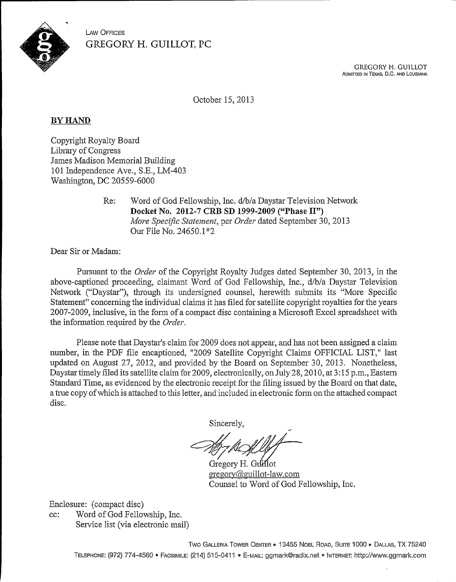

> **GREGORY H. GUILLOT** ADMITTED IN TEXAS, D.C. AND LOUISIANA

October 15, 2013

# BY HAND

Copyright Royalty Board Library of Congress James Madison Memorial Building 101 Independence Ave., S.E., LM-403 Washington, DC 20559-6000

> Re: Word of God Fellowship, Inc. d/b/a Daystar Television Network Docket No. 2012-7 CRB SD 1999-2009 ("Phase II") More Specific Statement, per Order dated September 30, 2013 Our File No. 24650.1'"2

Dear Sir or Madam:

Pursuant to the *Order* of the Copyright Royalty Judges dated September 30, 2013, in the above-captioned proceeding, claimant Word of God Fellowship, Inc., d/b/a Daystar Television Network ("Daystar"), through its undersigned counsel, herewith submits its "More Specific Statement" concerning the individual claims it has filed for satellite copyright royalties for the years 2007-2009, inclusive, in the form of a compact disc containing a Microsoft Excel spreadsheet with the information required by the Order.

Please note that Daystar's claim for 2009 does not appear, and has not been assigned a claim number, in the PDF file encaptioned, "2009 Satellite Copyright Claims OFFICIAL LIST," last updated on August 27, 2012, and provided by the Board on September 30, 2013. Nonetheless, Daystar timely filed its satellite claim for 2009, electronically, on July 28, 2010, af 3: 15 p.m., Eastern Standard Time, as evidenced by the electronic receipt for the filing issued by the Board on that date, a true copy of which is attached to this letter, and included in electronic form on the attached compact disc.

Sincerely,

Gregory H. Guillot gregory@guillot-law.com Counsel to Word of God Fellowship, Inc.

Enclosure: (compact disc)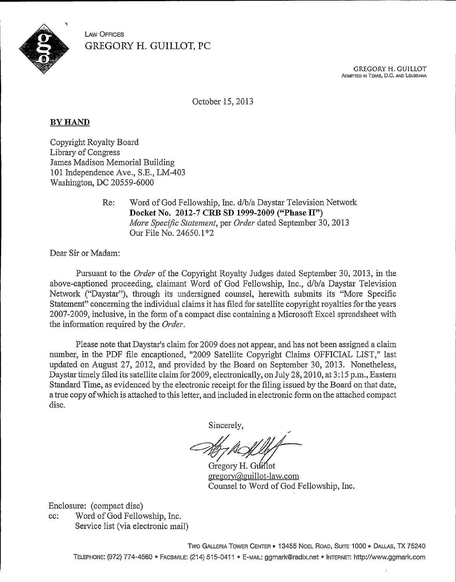

> **GREGORY H. GUILLOT** ADMITTED IN TEXAS, D.C. AND LOUISIANA

October 15, 2013

#### BY HAND

Copyright Royalty Board Library of Congress James Madison Memorial Building 101 Independence Ave., S.E., LM-403 Washington, DC 20559-6000

> Re: Word of God Fellowship, Inc. d/b/a Daystar Television Network Docket No. 2012-7 CRB SD 1999-2009 ("Phase II"} More Specific Statement, per Order dated September 30, 2013 Our File No. 24650.1~2

Dear Sir or Madam:

Pursuant to the Order of the Copyright Royalty Judges dated September 30, 2013, in the above-captioned proceeding, claimant Word of God Fellowship, Inc., d/b/a Daystar Television Network ("Daystar"), tlirough its undersigned counsel, herewith submits its "More Specific Statement" concerning the individual claims it has filed for satellite copyright royalties for the years 2007-2009, inclusive, in the form of a compact disc containing a Microsoft Excel spreadsheet with the information required by the Order.

Please note that Daystar's claim for 2009 does not appear, and has not been assigned a claim number, in the PDF file encaptioned, "2009 Satellite Copyright Claims OFFICIAL LIST," last updated on August 27, 2012, and provided by the Board on September 30, 2013. Nonetheless, Daystar timely filed its satellite claim for 2009, electronically, on July 28, 2010, at 3:15 p.m., Eastern Standard Time, as evidenced by the electronic receipt for the filing issued by the Board on that date, a true copy of which is attached to this letter, and included in electronic form on the attached compact disc.

Sincerely,

Gregory H. Guillot gregory@guillot-law.com Counsel to Word of God Fellowship, Inc.

Enclosure: (compact disc)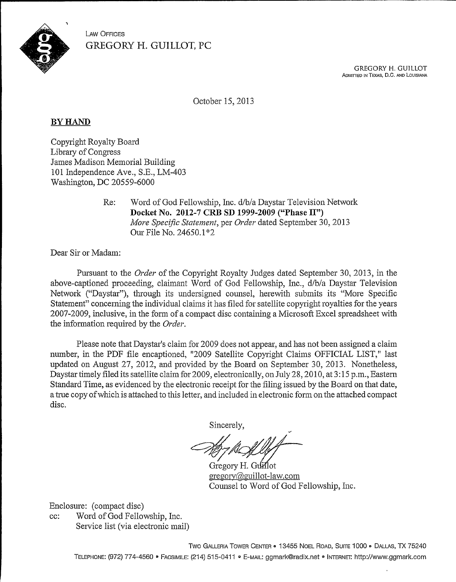

> **GREGORY H. GUILLOT** ADMITTED IN TEXAS, D.C. AND LOUISIANA

October 15, 2013

## BY HAND

Copyright Royalty Board Library of Congress James Madison Memorial Building 101 Independence Ave., S.E., LM-403 Washington, DC 20559-6000

> Re: Word of God Fellowship, Inc. d/b/a Daystar Television Network Docket No. 2012-7 CRB SD 1999-2009 ("Phase II") More Specific Statement, per Order dated September 30, 2013 Our File No.  $24650.1*2$

Dear Sir or Madam:

Pursuant to the *Order* of the Copyright Royalty Judges dated September 30, 2013, in the above-captioned proceeding, claimant Word of God Fellowship, Inc., d/b/a Daystar Television Network ("Daystar"), through its undersigned counsel, herewith submits its "More Specific Statement" concerning the individual claims it has filed for satellite copyright royalties for the years 2007-2009, inclusive, in the form of a compact disc containing a Microsoft Excel spreadsheet with the information required by the Order.

Please note that Daystar's claim for 2009 does not appear, and has not been assigned a claim number, in the PDF file encaptioned, "2009 Satellite Copyright Claims OFFICIAL LIST," last updated on August 27, 2012, and provided by the Board on September 30, 2013. Nonetheless, Daystar timely filed its satellite claim for 2009, electronically, on July 28, 2010, at 3:15 p.m., Eastern Standard Time, as evidenced by the electronic receipt for the filing issued by the Board on that date, a true copy ofwhich is attached to tins letter, and included in electronic form on the attached compact disc.

Sincerely,

Gregory H. Guillot gregory@guillot-law.com Counsel to Word of God Fellowship, Inc.

Enclosure: (compact disc)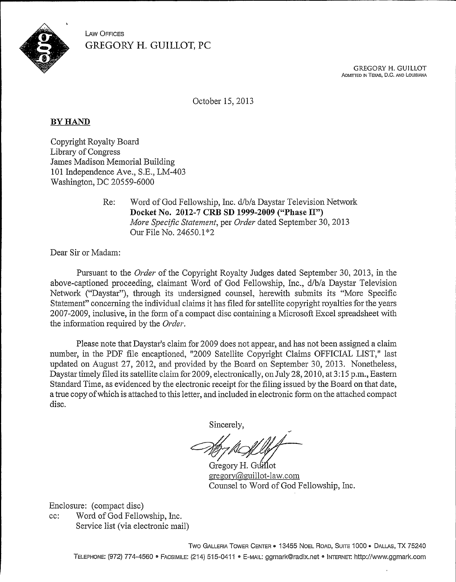

> **GREGORY H. GUILLOT** ADMITTED IN TExA8, D.C. ANo LoUlslANA

October 15, 2013

## BY HAND

Copyright Royalty Board Library of Congress James Madison Memorial Building 101 Independence Ave., S.E., LM-403 Washington, DC 20559-6000

> Re: Word of God Fellowship, Inc. d/b/a Daystar Television Network Docket No. 2012-7 CRB SD 1999-2009 ("Phase II") More Specific Statement, per Order dated September 30, 2013 Our File No. 24650.1\*2

Dear Sir or Madam:

Pursuant to the *Order* of the Copyright Royalty Judges dated September 30, 2013, in the above-captioned proceeding, claimant Word of God Fellowship, Inc., d/b/a Daystar Television Network ("Daystar"), through its undersigned counsel, herewith submits its "More Specific Statement" concerning the individual claims it has filed for satellite copyright royalties for the years 2007-2009, inclusive, in the form of a compact disc containing a Microsoft Excel spreadsheet with the information required by the Order.

Please note that Daystar's claim for 2009 does not appear, and has not been assigned a claim. number, in the PDF file encaptioned, "2009 Satellite Copyright Claims OFFICIAL LIST," last updated on August 27, 2012, and provided by the Board on September 30, 2013. Nonetheless, Daystartimely filed its satellite claim for 2009, electronically, on July 28, 2010, at 3:15 p.m., Eastern Standard Time, as evidenced by the electronic receipt for the filing issued by the Board on that date, a true copy ofwhich is attached to this letter, and Included in electronic form on the attached compact disc.

Sincerely,

Gregory H. Guillot gregory@guillot-law.com Counsel to Word of God Fellowship, Inc.

Enclosure: (compact disc)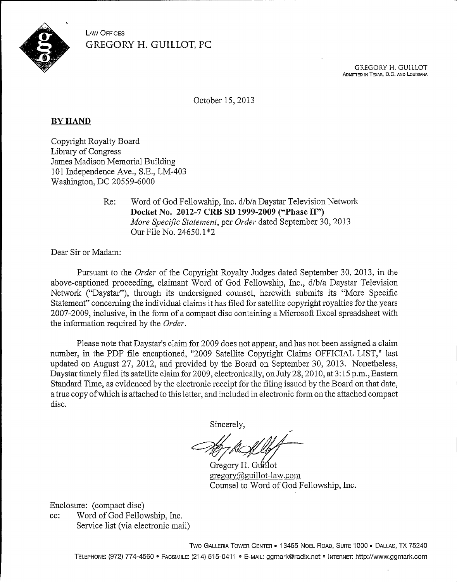

> **GREGORY H. GUILLOT** ADMITTED IN TEXAS, D,C. AND LOUISIANA

October 15, 2013

## **BY HAND**

Copyright Royalty Board Library of Congress James Madison Memorial Building 101 Independence Ave., S.E., LM-403 Washington, DC 20559-6000

> Re: Word of God Fellowship, Inc. d/b/a Daystar Television Network Docket Xo. 2012-7 CRB SD 1999-2009 ("Phase II") More Specific Statement, per Order dated September 30, 2013 Our File No.  $24650.1*2$

Dear Sir or Madam:

Pursuant to the Order of the Copyright Royalty Judges dated September 30, 2013, in the above-captioned proceeding, claimant Word of God Fellowship, Inc., d/b/a Daystar Television Network ("Daystar"), through its undersigned counsel, herewith submits its "More Specific Statement" concerning the individual claims it has filed for satellite copyright royalties for the years 2007-2009, inclusive, in the form of a compact disc containing a Microsoft Excel spreadsheet with the information required by the Order.

Please note that Daystar's claim for 2009 does not appear, and has not been assigned a claim number, in the PDF file encaptioned, "2009 Satellite Copyright Claims OFFICIAL LIST," last updated on August 27, 2012, and provided by the Board on September 30, 2013. Nonetheless, Daystar timely filed its satellite claim for 2009, electronically, on July 28, 2010, at 3:15 p.m., Eastern Standard Time, as evidenced by the electronic receipt for the filing issued by the Board on that date, a true copy ofwhich is attached to this letter, and included in electronic form on the attached compact disc.

Sincerely,

Gregory H. Guillot  $greegory@guillot-law.com$ Counsel to Word of God Fellowship, Inc.

Enclosure: (compact disc)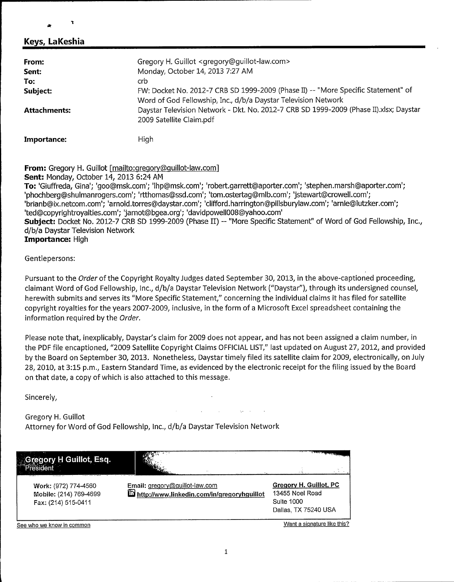#### Keys, LaKeshia

ŧ

| From:               | Gregory H. Guillot <gregory@guillot-law.com></gregory@guillot-law.com>                                                                              |
|---------------------|-----------------------------------------------------------------------------------------------------------------------------------------------------|
| Sent:               | Monday, October 14, 2013 7:27 AM                                                                                                                    |
| To:                 | crb.                                                                                                                                                |
| Subject:            | FW: Docket No. 2012-7 CRB SD 1999-2009 (Phase II) -- "More Specific Statement" of<br>Word of God Fellowship, Inc., d/b/a Daystar Television Network |
| <b>Attachments:</b> | Daystar Television Network - Dkt. No. 2012-7 CRB SD 1999-2009 (Phase II).xlsx; Daystar<br>2009 Satellite Claim.pdf                                  |
| Importance:         | High                                                                                                                                                |

From: Gregory H. Guillot [mailto:gregory@quillot-law.com]

Sent: Monday, October 14, 2013 6:24 AM To: 'Giuffreda, Gina'; 'goo@msk.corn'; 'lhp@msk.corn'; 'robert.garrett@aporter.corn'; 'stephen.marsh@aporter.corn'; 'phochberg@shulmanrogers.com'; 'rtthomas@ssd.com'; 'tom.ostertag@mlb.com'; 'jstewart@crowell.com'; 'brianb@ix.netcom.com'; 'arnold.torres@daystar.com'; 'clifford.harrington@pillsburylaw.com'; 'arnie@lutzker.com';<br>'ted@copyrightrovalties.com'; 'iarnot@bgea.org'; 'davidpowell008@yahoo.com' 'ted@copyrightroyalties.com'; 'jarnot@bgea.org'; 'davidpowell008@yahoo.com'<br>**Subject:** Docket No. 2012-7 CRB SD 1999-2009 (Phase II) -- "More Specific Statement" of Word of God Fellowship, Inc., d/b/a Daystar Television Network Importance: High

#### Gentlepersons:

Pursuant to the Order of the Copyright Royalty Judges dated September 30, 2013, in the above-captioned proceeding, claimant Word of God Fellowship, Inc., d/b/a Daystar Television Network ("Daystar"), through its undersigned counsel, herewith submits and serves its "More Specific Statement," concerning the individual claims it has filed for satellite copyright royalties for the years 2007-2009, inclusive, in the form of a Microsoft Excel spreadsheet containing the information required by the Order.

Please note that, inexplicably, Daystar's claim for 2009 does not appear, and has not been assigned a claim number, in the PDF file encaptioned, "2009 Satellite Copyright Claims OFFICIAL LIST," last updated on August 27, 2012, and provided by the Board on September 30, 2013. Nonetheless, Daystar timely filed its satellite claim for 2009, electronically, on July 28, 2010, at 3:15 p.m., Eastern Standard Time, as evidenced by the electronic receipt for the filing issued by the Board on that date, a copy of which is also attached to this message.

Sincerely,

Gregory H. Guillot Attorney for Word of God Fellowship, Inc., d/b/a Daystar Television Network

| regory H Guillot, Esq.                                                |                                                                              | $\frac{1}{\sqrt{2\pi}\sqrt{2\pi}\sqrt{2\pi}}\frac{1}{\sqrt{2\pi}\sqrt{2\pi}}\frac{1}{\sqrt{2\pi}}\frac{1}{\sqrt{2\pi}}\frac{1}{\sqrt{2\pi}}\frac{1}{\sqrt{2\pi}}\frac{1}{\sqrt{2\pi}}\frac{1}{\sqrt{2\pi}}\frac{1}{\sqrt{2\pi}}\frac{1}{\sqrt{2\pi}}\frac{1}{\sqrt{2\pi}}\frac{1}{\sqrt{2\pi}}\frac{1}{\sqrt{2\pi}}\frac{1}{\sqrt{2\pi}}\frac{1}{\sqrt{2\pi}}\frac{1}{\sqrt{2\pi}}\frac{1}{\sqrt{2\$ |
|-----------------------------------------------------------------------|------------------------------------------------------------------------------|------------------------------------------------------------------------------------------------------------------------------------------------------------------------------------------------------------------------------------------------------------------------------------------------------------------------------------------------------------------------------------------------------|
| Work: (972) 774-4560<br>Mobile: (214) 769-4699<br>Fax: (214) 515-0411 | Email: gregory@guillot-law.com<br>http://www.linkedin.com/in/gregoryhguillot | Gregory H. Guillot, PC<br>13455 Noel Road<br>Suite 1000<br>Dallas, TX 75240 USA                                                                                                                                                                                                                                                                                                                      |
| See who we know in common                                             |                                                                              | Want a signature like this?                                                                                                                                                                                                                                                                                                                                                                          |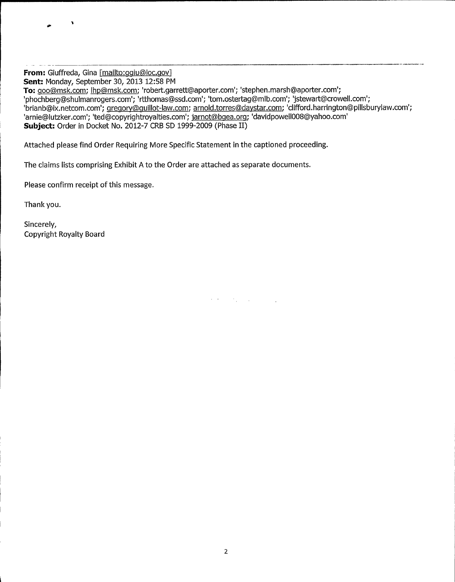From: Giuffreda, Gina [mailto:qqiu@loc.qov] Sent: Monday, September 30, 2013 12:58 PM To: goo@msk.com; lhp@msk.com; 'robert.garrett@aporter.com'; 'stephen.marsh@aporter.com'; 'phochberg@shulmanrogers.com'; 'rtthomas@ssd.com'; 'tom.ostertag@mlb.com'; 'jstewart@crowell.com'; 'brianb@ix.netcom.com'; gregory@guillot-law.com; arnold.torres@daystar.com; 'clifford.harrington@pillsburylaw.com';<br>'arnie@lutzker.com'; 'ted@copyrightroyalties.com'; jarnot@bgea.org; 'davidpowell008@yahoo.com' 'arnie@lutzker.com'; 'ted@copyrightroyalties.com'; <u>jarnot@bgea.org</u>;<br>**Subject:** Order in Docket No. 2012-7 CRB SD 1999-2009 (Phase II)

Attached please find Order Requiring More Specific Statement in the captioned proceeding.

The claims lists comprising Exhibit A to the Order are attached as separate documents.

Please confirm receipt of this message.

Thank you.

Sincerely, Copyright Royalty Board

 $\bullet$ 

 $\mathcal{O}(2\pi)$  ,  $\mathcal{O}(2\pi)$  ,  $\mathcal{O}(2\pi)$  ,  $\mathcal{O}(2\pi)$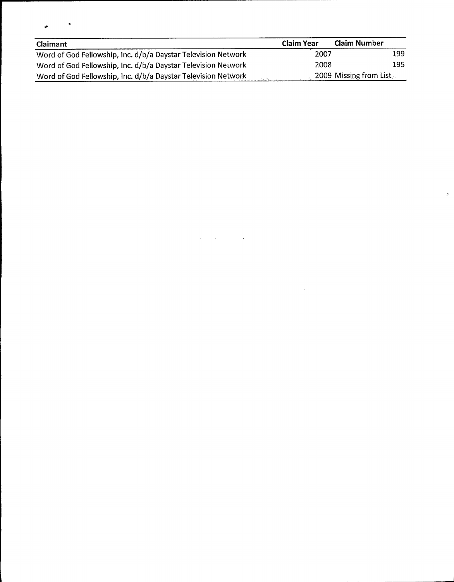| $\cdot$ | v |
|---------|---|
|         |   |

| <b>Claimant</b>                                               | <b>Claim Year</b> | <b>Claim Number</b>    |
|---------------------------------------------------------------|-------------------|------------------------|
| Word of God Fellowship, Inc. d/b/a Daystar Television Network | 2007              | 199                    |
| Word of God Fellowship, Inc. d/b/a Daystar Television Network | 2008              | 195                    |
| Word of God Fellowship, Inc. d/b/a Daystar Television Network |                   | 2009 Missing from List |

 $\label{eq:2.1} \mathcal{L}(\mathcal{L}^{\mathcal{L}}_{\mathcal{L}}(\mathcal{L}^{\mathcal{L}}_{\mathcal{L}}(\mathcal{L}^{\mathcal{L}}_{\mathcal{L}}(\mathcal{L}^{\mathcal{L}}_{\mathcal{L}}(\mathcal{L}^{\mathcal{L}}_{\mathcal{L}}(\mathcal{L}^{\mathcal{L}}_{\mathcal{L}}(\mathcal{L}^{\mathcal{L}}_{\mathcal{L}}(\mathcal{L}^{\mathcal{L}}_{\mathcal{L}})))\otimes \mathcal{L}^{\mathcal{L}}_{\mathcal{L}}(\mathcal{L}^{\mathcal{L}}_{\mathcal{L}}(\$ 

 $\label{eq:2.1} \frac{1}{\sqrt{2}}\int_{\mathbb{R}^3}\frac{1}{\sqrt{2}}\left(\frac{1}{\sqrt{2}}\right)^2\frac{1}{\sqrt{2}}\left(\frac{1}{\sqrt{2}}\right)^2\frac{1}{\sqrt{2}}\left(\frac{1}{\sqrt{2}}\right)^2.$ 

 $\mathcal{P}^{\mathbb{C}}$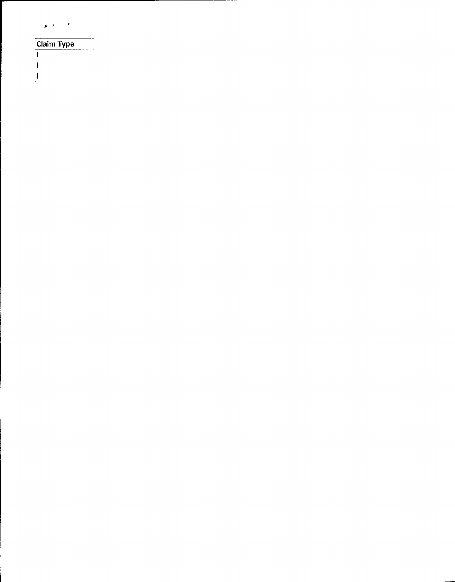| v<br>$\mathcal{F} = \mathcal{F}$ |  |  |  |
|----------------------------------|--|--|--|
| <b>Claim Type</b>                |  |  |  |
|                                  |  |  |  |
|                                  |  |  |  |

 $\Gamma$  .